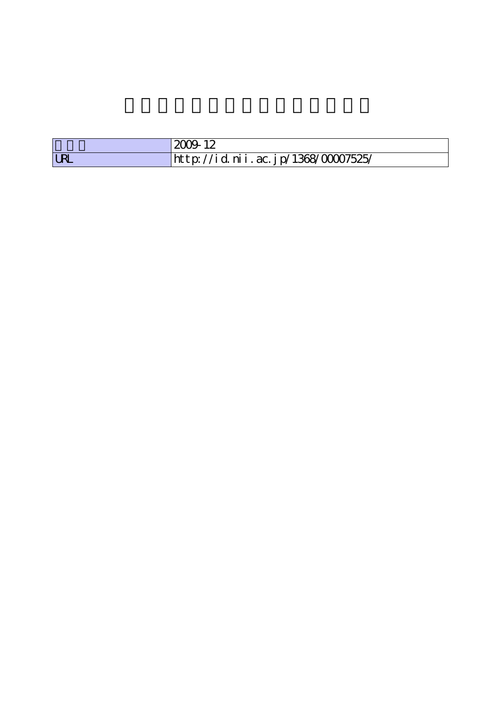|            | 2009 12                            |
|------------|------------------------------------|
| <b>LRL</b> | http://id.nii.ac.jp/1368/00007525/ |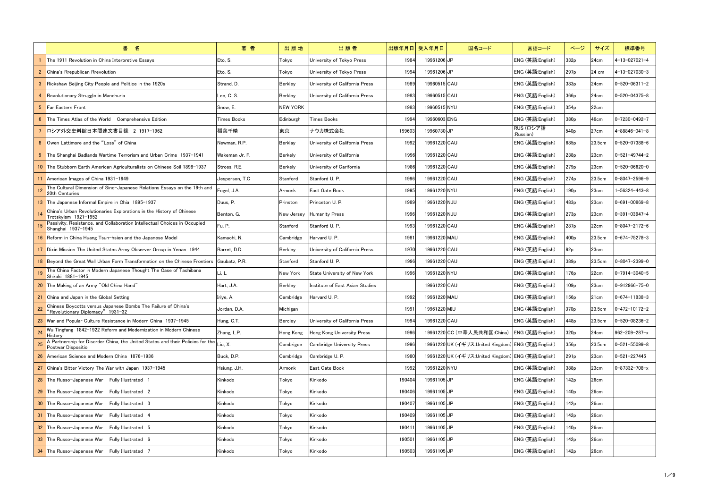|                | 書名                                                                                                           | 著者             | 出版地             | 出版者                               |        | 出版年月日 受入年月日  | 国名コード                                              | 言語コード                  | ページ              | サイズ    | 標準番号                  |
|----------------|--------------------------------------------------------------------------------------------------------------|----------------|-----------------|-----------------------------------|--------|--------------|----------------------------------------------------|------------------------|------------------|--------|-----------------------|
|                | The 1911 Revolution in China Interpretive Essavs                                                             | Eto, S.        | Tokyo           | University of Tokyo Press         | 1984   | 19961206UP   |                                                    | ENG (英語:English)       | 332p             | 24cm   | $4 - 13 - 027021 - 4$ |
| $\overline{2}$ | China's Rrepublican Rrevolution                                                                              | Eto, S.        | Tokyo           | Universitv of Tokvo Press         | 1994   | 19961206UP   |                                                    | ENG (英語:English)       | 297 <sub>p</sub> | 24 cm  | 4-13-027030-3         |
| -3             | Rickshaw Beijing City People and Politice in the 1920s                                                       | Strand, D.     | Berkley         | University of California Press    | 1989   | 19960515 CAU |                                                    | ENG (英語:English)       | 383 <sub>p</sub> | 24cm   | $0 - 520 - 06311 - 2$ |
| 4              | Revolutionary Struggle in Manchuria                                                                          | Lee, C. S.     | Berkley         | University of California Press    | 1983   | 19960515 CAU |                                                    | ENG (英語:English)       | 366p             | 24cm   | $0 - 520 - 04375 - 8$ |
| 5 <sup>5</sup> | <b>Far Eastern Front</b>                                                                                     | Snow, E.       | <b>NEW YORK</b> |                                   | 1983   | 19960515 NYU |                                                    | ENG (英語:English)       | 354 <sub>p</sub> | 22cm   |                       |
| 6              | The Times Atlas of the World Comprehensive Edition                                                           | Times Books    | Edinburgh       | Times Books                       | 1994   | 19960603 ENG |                                                    | ENG (英語:English)       | 380 <sub>p</sub> | 46cm   | 0-7230-0492-7         |
|                | ┃ロシア外交史料館日本関連文書目録 2 1917-1962                                                                                | 稲葉千晴           | 東京              | ナウカ株式会社                           | 199603 | 19960730UP   |                                                    | RUS (ロシア語<br>:Russian) | 540 <sub>p</sub> | 27cm   | 4-88846-041-8         |
| 8              | Owen Lattimore and the "Loss" of China                                                                       | Newman, R.P.   | Berklay         | University of California Press    | 1992   | 19961220 CAU |                                                    | ENG (英語:English)       | 685 <sub>p</sub> | 23.5cm | 0-520-07388-6         |
| -9             | The Shanghai Badlands Wartime Terrorism and Urban Crime 1937-1941                                            | Wakeman Jr, F. | Berkely         | University of California          | 1996   | 19961220 CAU |                                                    | ENG (英語:English)       | 238p             | 23cm   | $0 - 521 - 49744 - 2$ |
|                | 10 The Stubborn Earth American Agriculturalists on Chinese Soil 1898-1937                                    | Stross, R.E.   | Berkely         | University of Carifornia          | 1986   | 19961220 CAU |                                                    | ENG (英語:English)       | 279 <sub>p</sub> | 23cm   | $0 - 520 - 06620 - 0$ |
|                | American Images of China 1931-1949                                                                           | Jesperson, T.C | Stanford        | Stanford U.P.                     | 1996   | 19961220 CAU |                                                    | ENG (英語:English)       | 274 <sub>p</sub> | 23.5cm | $0 - 8047 - 2596 - 9$ |
|                | The Cultural Dimension of Sino-Japanese Relations Essays on the 19th and<br>20th Centuries                   | Fogel, J.A.    | Armonk          | East Gate Book                    | 1995   | 19961220 NYU |                                                    | ENG (英語:English)       | 190 <sub>p</sub> | 23cm   | $-56324 - 443 - 8$    |
|                | The Japanese Informal Empire in Chia 1895-1937                                                               | Duus, P.       | Prinston        | Princeton U. P.                   | 1989   | 19961220 NJU |                                                    | ENG (英語:English)       | 483p             | 23cm   | $0 - 691 - 00869 - 8$ |
|                | China's Urban Revolutionaries Explorations in the History of Chinese<br>Trotskyism 1921-1952                 | Benton, G.     | New Jersey      | <b>Humanity Press</b>             | 1996   | 19961220 NJU |                                                    | ENG (英語:English)       | 273 <sub>p</sub> | 23cm   | $0 - 391 - 03947 - 4$ |
|                | Passivity, Resistance, and Collaboration Intellectual Choices in Occupied<br>Shanghai 1937-1945              | Fu, P.         | Stanford        | Stanford U. P.                    | 1993   | 19961220 CAU |                                                    | ENG (英語:English)       | 287p             | 22cm   | $0 - 8047 - 2172 - 6$ |
|                | 16 Reform in China Huang Tsun-hsien and the Japanese Model                                                   | Kamachi, N.    | Cambridge       | Harvard U. P.                     | 1981   | 19961220 MAU |                                                    | ENG (英語:English)       | 400 <sub>p</sub> | 23.5cm | $0 - 674 - 75278 - 3$ |
|                | Dixie Mission The United States Army Observer Group in Yenan 1944                                            | Barret. D.D.   | Berkley         | University of California Press    | 1970   | 19961220 CAU |                                                    | ENG (英語:English)       | 92p              | 23cm   |                       |
|                | Beyond the Great Wall Urban Form Transformation on the Chinese Frontiers Gaubatz, P.R.                       |                | Stanford        | Stanford U. P.                    | 1996   | 19961220 CAU |                                                    | ENG (英語:English)       | 389 <sub>p</sub> | 23.5cm | $0 - 8047 - 2399 - 0$ |
|                | The China Factor in Modern Japanese Thought The Case of Tachibana<br>Shiraki 1881-1945                       | Li, L          | New York        | State University of New York      | 1996   | 19961220 NYU |                                                    | ENG (英語:English)       | 176p             | 22cm   | $0 - 7914 - 3040 - 5$ |
|                | 20 The Making of an Army "Old China Hand"                                                                    | Hart, J.A.     | <b>Berkley</b>  | Institute of East Asian Studies   |        | 19961220 CAU |                                                    | ENG (英語:English)       | 109 <sub>p</sub> | 23cm   | $0 - 912966 - 75 - 0$ |
| $-21$          | China and Japan in the Global Setting                                                                        | Iriye, A.      | Cambridge       | Harvard U. P.                     | 1992   | 19961220 MAU |                                                    | ENG (英語:English)       | 156 <sub>p</sub> | 21cm   | $0 - 674 - 11838 - 3$ |
|                | Chinese Boycotts versus Japanese Bombs The Failure of China's<br>"Revolutionary Diplomacy" 1931-32           | Jordan, D.A.   | Michigan        |                                   | 1991   | 19961220 MIU |                                                    | ENG (英語:English)       | 370 <sub>p</sub> | 23.5cm | $0 - 472 - 10172 - 2$ |
|                | 23 War and Popular Culture Resistance in Modern China 1937-1945                                              | Hung, C.T.     | Bercley         | University of California Press    | 1994   | 19961220 CAU |                                                    | ENG (英語:English)       | 448p             | 23.5cm | 0-520-08236-2         |
| 24             | Wu Tingfang 1842-1922 Reform and Modernization in Modern Chinese<br>History                                  | Zhang, L.P.    | Hong Kong       | Hong Kong University Press        | 1996   |              | 19961220 CC (中華人民共和国:China)                        | ENG (英語:English)       | 320 <sub>p</sub> | 24cm   | 962-209-287-x         |
| 25             | A Partnership for Disorder China, the United States and their Policies for the Liu, X.<br>Postwar Dispositio |                | Cambrigde       | <b>Cambridge University Press</b> | 1996   |              | 19961220 UK (イギリス:United Kingdom) ENG (英語:English) |                        | 356 <sub>p</sub> | 23.5cm | $0 - 521 - 55099 - 8$ |
|                | 26 American Science and Modern China 1876-1936                                                               | Buck, D.P.     | Cambridge       | Cambridge U. P.                   | 1980   |              | 19961220 UK (イギリス:United Kingdom) ENG (英語:English) |                        | 291 <sub>p</sub> | 23cm   | $0 - 521 - 227445$    |
|                | 27 China's Bitter Victory The War with Japan 1937-1945                                                       | Hsiung, J.H.   | Armonk          | East Gate Book                    | 1992   | 19961220 NYU |                                                    | ENG (英語:English)       | 388p             | 23cm   | $0 - 87332 - 708 - x$ |
|                | <b>28</b> The Russo-Japanese War Fully Illustrated 1                                                         | Kinkodo        | Tokyo           | Kinkodo                           | 190404 | 19961105UP   |                                                    | ENG (英語:English)       | 142p             | 26cm   |                       |
|                | 29 The Russo-Japanese War Fully Illustrated 2                                                                | Kinkodo        | Tokyo           | Kinkodo                           | 190406 | 19961105 JP  |                                                    | ENG (英語:English)       | 140 <sub>p</sub> | 26cm   |                       |
|                | 30 The Russo-Japanese War Fully Illustrated 3                                                                | Kinkodo        | Tokyo           | Kinkodo                           | 190407 | 19961105 JP  |                                                    | ENG (英語:English)       | 142 <sub>p</sub> | 26cm   |                       |
| - 31           | The Russo-Japanese War Fully Illustrated 4                                                                   | Kinkodo        | Tokyo           | Kinkodo                           | 190409 | 19961105 JP  |                                                    | ENG (英語:English)       | 142 <sub>p</sub> | 26cm   |                       |
|                | 32 The Russo-Japanese War Fully Illustrated 5                                                                | Kinkodo        | Tokyo           | Kinkodo                           | 19041  | 19961105UP   |                                                    | ENG (英語:English)       | 140 <sub>p</sub> | 26cm   |                       |
|                | 33 The Russo-Japanese War Fully Illustrated 6                                                                | Kinkodo        | Tokyo           | Kinkodo                           | 190501 | 19961105 JP  |                                                    | ENG (英語:English)       | 142p             | 26cm   |                       |
|                | 34 The Russo-Japanese War Fully Illustrated 7                                                                | Kinkodo        | Tokyo           | Kinkodo                           | 190503 | 19961105 JP  |                                                    | ENG (英語:English)       | 142p             | 26cm   |                       |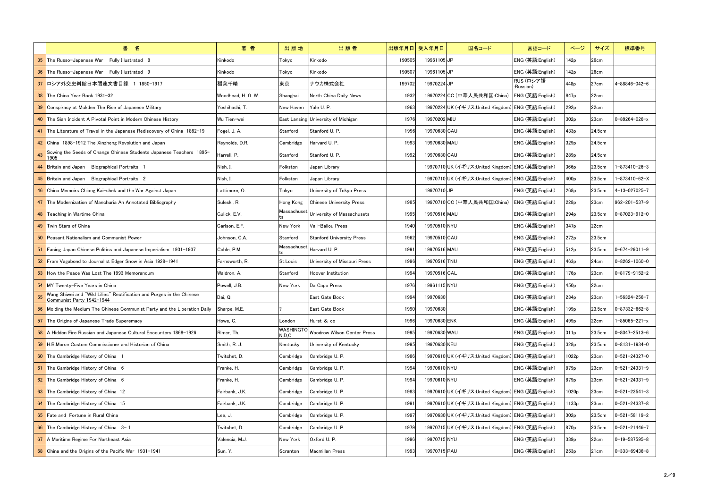|                 | 書 名                                                                                                | 著者                 | 出版地                       | 出版者                                 |        | 出版年月日 受入年月日  | 国名コード                                              | 言語コード                  | ページ               | サイズ    | 標準番号                    |
|-----------------|----------------------------------------------------------------------------------------------------|--------------------|---------------------------|-------------------------------------|--------|--------------|----------------------------------------------------|------------------------|-------------------|--------|-------------------------|
| 35 <sub>o</sub> | The Russo-Japanese War Fully Illustrated 8                                                         | Kinkodo            | Tokyo                     | Kinkodo                             | 190505 | 19961105 JP  |                                                    | ENG (英語:English)       | 142p              | 26cm   |                         |
|                 | 36 The Russo-Japanese War Fully Illustrated 9                                                      | Kinkodo            | Tokyo                     | Kinkodo                             | 190507 | 19961105 JP  |                                                    | ENG (英語:English)       | 142 <sub>p</sub>  | 26cm   |                         |
|                 | 37 ロシア外交史料館日本関連文書目録 1 1850-1917                                                                    | 稲葉千晴               | 東京                        | ナウカ株式会社                             | 199702 | 19970224 JP  |                                                    | RUS (ロシア語<br>:Russian) | 448 <sub>p</sub>  | 27cm   | 4-88846-042-6           |
|                 | 38 The China Year Book 1931-32                                                                     | Woodhead, H. G. W. | Shanghai                  | North China Daily News              | 1932   |              | 19970224 CC (中華人民共和国:China)                        | ENG (英語:English)       | 847p              | 22cm   |                         |
|                 | 39 Conspiracy at Mukden The Rise of Japanese Military                                              | Yoshihashi, T.     | New Haven                 | Yale U. P.                          | 1963   |              | 19970224 UK (イギリス:United Kingdom) ENG (英語:English) |                        | 292 <sub>p</sub>  | 22cm   |                         |
|                 | 40 The Sian Incident A Pivotal Point in Modern Chinese History                                     | Wu Tien-wei        |                           | East Lansing University of Michigan | 1976   | 19970202 MIU |                                                    | ENG (英語:English)       | 302 <sub>p</sub>  | 23cm   | $0 - 89264 - 026 - x$   |
|                 | 41 The Literature of Travel in the Japanese Rediscovery of China 1862-19                           | Fogel, J. A.       | Stanford                  | Stanford U. P.                      | 1996   | 19970630 CAU |                                                    | ENG (英語:English)       | 433p              | 24.5cm |                         |
|                 | 42 China 1898-1912 The Xinzheng Revolution and Japan                                               | Reynolds, D.R.     | Cambridge                 | Harvard U. P.                       | 1993   | 19970630 MAU |                                                    | ENG (英語:English)       | 329 <sub>p</sub>  | 24.5cm |                         |
| 43              | Sowing the Seeds of Change Chinese Students Japanese Teachers 1895-<br>1905                        | Harrell, P.        | Stanford                  | Stanford U. P.                      | 1992   | 19970630 CAU |                                                    | ENG (英語:English)       | 289 <sub>p</sub>  | 24.5cm |                         |
|                 | 44 Britain and Japan Biographical Portraits 1                                                      | Nish, I.           | Folkston                  | Japan Library                       |        |              | 19970710 UK (イギリス:United Kingdom) ENG (英語:English) |                        | 366p              | 23.5cm | $-873410 - 26 - 3$      |
|                 | 45 Britain and Japan Biographical Portraits 2                                                      | Nish, I.           | Folkston                  | Japan Library                       |        |              | 19970710 UK (イギリス:United Kingdom) ENG (英語:English) |                        | 400 <sub>p</sub>  | 23.5cm | 1-873410-62-X           |
|                 | 46 China Memoirs Chiang Kai-shek and the War Against Japan                                         | Lattimore, O.      | Tokyo                     | University of Tokyo Press           |        | 19970710 JP  |                                                    | ENG (英語:English)       | 268p              | 23.5cm | 4-13-027025-7           |
|                 | 47 The Modernization of Manchuria An Annotated Bibliography                                        | Suleski, R.        | Hong Kong                 | <b>Chinese University Press</b>     | 1985   |              | 19970710 CC (中華人民共和国:China)                        | ENG (英語:English)       | 228p              | 23cm   | 962-201-537-9           |
|                 | 48 Teaching in Wartime China                                                                       | Gulick, E.V.       | Massachuset               | University of Massachusets          | 1995   | 19970516 MAU |                                                    | ENG (英語:English)       | 294 <sub>p</sub>  | 23.5cm | $0 - 87023 - 912 - 0$   |
|                 | 49 Twin Stars of China                                                                             | Carlson, E.F.      | New York                  | Vail-Ballou Press                   | 1940   | 19970510 NYU |                                                    | ENG (英語:English)       | 347 <sub>p</sub>  | 22cm   |                         |
|                 | <b>50</b> Peasant Nationalism and Communist Power                                                  | Johnson, C.A.      | Stanford                  | <b>Stanford University Press</b>    | 1962   | 19970510 CAU |                                                    | ENG (英語:English)       | 272p              | 23.5cm |                         |
|                 | <b>51</b> Facing Japan Chinese Politics and Japanese Imperialism 1931-1937                         | Coble, P.M.        | Massachuset               | Harvard U. P.                       | 1991   | 19970516 MAU |                                                    | ENG (英語:English)       | 512p              | 23.5cm | $0 - 674 - 29011 - 9$   |
|                 | 52 From Vagabond to Journalist Edger Snow in Asia 1928-1941                                        | Farnsworth, R.     | St.Louis                  | University of Missouri Press        | 1996   | 19970516 TNU |                                                    | ENG (英語:English)       | 463p              | 24cm   | $ 0 - 8262 - 1060 - 0 $ |
|                 | 53 How the Peace Was Lost The 1993 Memorandum                                                      | Waldron, A.        | Stanford                  | Hoover Institution                  | 1994   | 19970516 CAL |                                                    | ENG (英語:English)       | 176p              | 23cm   | $0 - 8179 - 9152 - 2$   |
|                 | 54 MY Twenty-Five Years in China                                                                   | Powell, J.B.       | New York                  | Da Capo Press                       | 1976   | 19961115 NYU |                                                    | ENG (英語:English)       | 450 <sub>p</sub>  | 22cm   |                         |
| 55              | Wang Shiwei and "Wild Lilies" Rectification and Purges in the Chinese<br>Communist Party 1942-1944 | Dai, Q.            |                           | East Gate Book                      | 1994   | 19970630     |                                                    | ENG (英語:English)       | 234 <sub>p</sub>  | 23cm   | $-56324-256-7$          |
|                 | 56 Molding the Medium The Chinese Communist Party and the Liberation Daily                         | Sharpe, M.E.       |                           | East Gate Book                      | 1990   | 19970630     |                                                    | ENG (英語:English)       | 199 <sub>p</sub>  | 23.5cm | $0 - 87332 - 662 - 8$   |
|                 | 57 The Origins of Japanese Trade Superemacy                                                        | Howe, C.           | London                    | Hurst & co                          | 1996   | 19970630 ENK |                                                    | ENG (英語:English)       | 499 <sub>p</sub>  | 22cm   | $-85065 - 221 - x$      |
|                 | 58 A Hidden Fire Russian and Japanese Cultural Encounters 1868-1926                                | Rimer, Th.         | <b>WASHINGTO</b><br>N.D.C | Woodrow Wilson Center Press         | 1995   | 19970630 WAU |                                                    | ENG (英語:English)       | 311p              | 23.5cm | $0 - 8047 - 2513 - 6$   |
|                 | <b>59</b> H.B.Morse Custom Commissioner and Historian of China                                     | Smith, R. J.       | Kentucky                  | University of Kentucky              | 1995   | 19970630 KEU |                                                    | ENG (英語:English)       | 328p              | 23.5cm | $0 - 8131 - 1934 - 0$   |
|                 | 60 The Cambridge History of China 1                                                                | Twitchet, D.       | Cambridge                 | Cambridge U. P.                     | 1986   |              | 19970610 UK (イギリス:United Kingdom) ENG (英語:English) |                        | 1022p             | 23cm   | $0 - 521 - 24327 - 0$   |
|                 | 61 The Cambridge History of China 6                                                                | Franke, H.         | Cambridge                 | Cambridge U. P.                     | 1994   | 19970610 NYU |                                                    | ENG (英語:English)       | 879 <sub>p</sub>  | 23cm   | $0 - 521 - 24331 - 9$   |
|                 | 62 The Cambridge History of China 6                                                                | Franke, H.         | Cambridge                 | Cambridge U.P.                      | 1994   | 19970610 NYU |                                                    | ENG (英語:English)       | 879 <sub>p</sub>  | 23cm   | $0 - 521 - 24331 - 9$   |
|                 | 63 The Cambridge History of China 12                                                               | Fairbank, J.K.     | Cambridge                 | Cambridge U. P.                     | 1983   |              | 19970610 UK (イギリス:United Kingdom) ENG (英語:English) |                        | 1020 <sub>p</sub> | 23cm   | $0 - 521 - 23541 - 3$   |
|                 | 64 The Cambridge History of China 15                                                               | Fairbank, J.K.     | Cambridge                 | Cambridge U. P.                     | 1991   |              | 19970610 UK (イギリス:United Kingdom) ENG (英語:English) |                        | 1133p             | 23cm   | $0 - 521 - 24337 - 8$   |
|                 | 65 Fate and Fortune in Rural China                                                                 | Lee, J.            | Cambridge                 | Cambridge U. P.                     | 1997   |              | 19970630UK (イギリス:United Kingdom) ENG (英語:English)  |                        | 302 <sub>p</sub>  | 23.5cm | $0 - 521 - 58119 - 2$   |
|                 | 66 The Cambridge History of China $3-1$                                                            | Twitchet, D.       | Cambridge                 | Cambridge U. P.                     | 1979   |              | 19970715 UK (イギリス:United Kingdom) ENG (英語:English) |                        | 870 <sub>p</sub>  | 23.5cm | $0 - 521 - 21446 - 7$   |
|                 | 67 A Maritime Regime For Northeast Asia                                                            | Valencia, M.J.     | New York                  | Oxford U. P.                        | 1996   | 19970715 NYU |                                                    | ENG (英語:English)       | 339 <sub>p</sub>  | 22cm   | $0 - 19 - 587595 - 8$   |
|                 | 68 China and the Origins of the Pacific War 1931-1941                                              | Sun, Y.            | Scranton                  | <b>Macmillan Press</b>              | 1993   | 19970715 PAU |                                                    | ENG (英語:English)       | 253p              | 21cm   | $0 - 333 - 69436 - 8$   |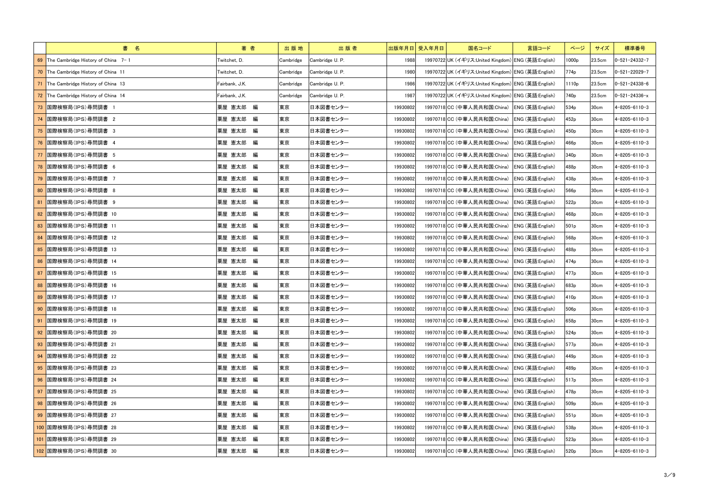|      | 書 名                                   | 著者             | 出版地       | 出版者             |          | 出版年月日 受入年月日 | 国名コード                                              | 言語コード            | ページ               | サイズ              | 標準番号                  |
|------|---------------------------------------|----------------|-----------|-----------------|----------|-------------|----------------------------------------------------|------------------|-------------------|------------------|-----------------------|
|      | 69 The Cambridge History of China 7-1 | Twitchet, D.   | Cambridge | Cambridge U. P. | 1988     |             | 19970722 UK (イギリス:United Kingdom) ENG (英語:English) |                  | 1000p             | 23.5cm           | $ 0-521-24332-7 $     |
|      | 70 The Cambridge History of China 11  | Twitchet, D.   | Cambridge | Cambridge U.P.  | 1980     |             | 19970722 UK (イギリス:United Kingdom) ENG (英語:English) |                  | 774 <sub>p</sub>  | 23.5cm           | $0 - 521 - 22029 - 7$ |
| 71   | The Cambridge History of China 13     | Fairbank, J.K. | Cambridge | Cambridge U. P. | 1986     |             | 19970722 UK (イギリス:United Kingdom) ENG (英語:English) |                  | 1110 <sub>p</sub> | 23.5cm           | $0 - 521 - 24338 - 6$ |
|      | 72 The Cambridge History of China 14  | Fairbank, J.K. | Cambridge | Cambridge U. P. | 1987     |             | 19970722 UK (イギリス:United Kingdom) ENG (英語:English) |                  | 740 <sub>p</sub>  | 23.5cm           | $0 - 521 - 24336 - x$ |
|      | 国際検察局(IPS) 尋問調書 1                     | 粟屋 憲太郎 編       | 東京        | 日本図書センター        | 19930802 |             | 19970718 CC (中華人民共和国:China)                        | ENG (英語:English) | 534 <sub>p</sub>  | 30cm             | 4-8205-6110-3         |
|      | 国際検察局(IPS)尋問調書 2                      | 粟屋 憲太郎 編       | 東京        | 日本図書センター        | 19930802 |             | 19970718 CC (中華人民共和国:China)                        | ENG (英語:English) | 452p              | 30cm             | 4-8205-6110-3         |
|      | <mark>75 国際検察局(IPS)尋問調書 3</mark>      | 粟屋 憲太郎 編       | 東京        | 日本図書センター        | 19930802 |             | 19970718 CC (中華人民共和国:China) ENG (英語:English)       |                  | 450 <sub>p</sub>  | 30cm             | 4-8205-6110-3         |
|      | 国際検察局(IPS)尋問調書 4                      | 粟屋 憲太郎 編       | 東京        | 日本図書センター        | 19930802 |             | 19970718 CC (中華人民共和国:China)                        | ENG (英語:English) | 466p              | 30cm             | 4-8205-6110-3         |
| 77   | 国際検察局(IPS)尋問調書 5                      | 粟屋 憲太郎 編       | 東京        | 日本図書センター        | 19930802 |             | 19970718 CC (中華人民共和国:China)                        | ENG (英語:English) | 340 <sub>p</sub>  | 30cm             | 4-8205-6110-3         |
|      | 78 国際検察局(IPS)尋問調書 6                   | 粟屋 憲太郎 編       | 東京        | 日本図書センター        | 19930802 |             | 19970718 CC (中華人民共和国:China) ENG (英語:English)       |                  | 488p              | 30cm             | 4-8205-6110-3         |
|      | 国際検察局(IPS)尋問調書 7                      | 粟屋 憲太郎 編       | 東京        | 日本図書センター        | 19930802 |             | 19970718 CC (中華人民共和国:China)                        | ENG (英語:English) | 438p              | 30cm             | 4-8205-6110-3         |
|      | 80 国際検察局(IPS)尋問調書 8                   | 粟屋 憲太郎 編       | 東京        | 日本図書センター        | 19930802 |             | 19970718 CC (中華人民共和国:China)                        | ENG (英語:English) | 566p              | 30cm             | 4-8205-6110-3         |
| 81   | 国際検察局(IPS)尋問調書 9                      | 粟屋 憲太郎 編       | 東京        | 日本図書センター        | 19930802 |             | 19970718 CC (中華人民共和国:China) ENG (英語:English)       |                  | 522p              | 30cm             | 4-8205-6110-3         |
| 82   | 国際検察局(IPS)尋問調書 10                     | 粟屋 憲太郎 編       | 東京        | 日本図書センター        | 19930802 |             | 19970718 CC (中華人民共和国:China)                        | ENG (英語:English) | 468p              | 30cm             | 4-8205-6110-3         |
|      | 83   国際検察局(IPS) 尋問調書 11               | 粟屋 憲太郎 編       | 東京        | 日本図書センター        | 19930802 |             | 19970718 CC (中華人民共和国:China)                        | ENG (英語:English) | 501 <sub>p</sub>  | 30cm             | 4-8205-6110-3         |
|      | 84  国際検察局(IPS)尋問調書 12                 | 粟屋 憲太郎 編       | 東京        | 日本図書センター        | 19930802 |             | 19970718 CC (中華人民共和国:China)                        | ENG (英語:English) | 568p              | 30cm             | 4-8205-6110-3         |
| 85   | 国際検察局(IPS)尋問調書 13                     | 粟屋 憲太郎 編       | 東京        | 日本図書センター        | 19930802 |             | 19970718 CC (中華人民共和国:China)                        | ENG (英語:English) | 488p              | 30cm             | 4-8205-6110-3         |
|      | 86 国際検察局(IPS)尋問調書 14                  | 粟屋 憲太郎 編       | 東京        | 日本図書センター        | 19930802 |             | 19970718 CC (中華人民共和国:China)                        | ENG (英語:English) | 474 <sub>p</sub>  | 30cm             | 4-8205-6110-3         |
| 87   | 国際検察局(IPS)尋問調書 15                     | 粟屋 憲太郎 編       | 東京        | 日本図書センター        | 19930802 |             | 19970718 CC (中華人民共和国:China) ENG (英語:English)       |                  | 477 <sub>p</sub>  | 30 <sub>cm</sub> | 4-8205-6110-3         |
|      | 88 国際検察局(IPS)尋問調書 16                  | 粟屋 憲太郎 編       | 東京        | 日本図書センター        | 19930802 |             | 19970718 CC (中華人民共和国:China)                        | ENG (英語:English) | 683p              | 30cm             | 4-8205-6110-3         |
|      | 89 国際検察局(IPS)尋問調書 17                  | 粟屋 憲太郎 編       | 東京        | 日本図書センター        | 19930802 |             | 19970718 CC (中華人民共和国:China) ENG (英語:English)       |                  | 410 <sub>p</sub>  | 30cm             | $4 - 8205 - 6110 - 3$ |
|      | 90 国際検察局(IPS)尋問調書 18                  | 粟屋 憲太郎 編       | 東京        | 日本図書センター        | 19930802 |             | 19970718 CC (中華人民共和国:China) ENG (英語:English)       |                  | 506 <sub>p</sub>  | 30cm             | 4-8205-6110-3         |
| - 91 | ■国際検察局(IPS)尋問調書 19                    | 粟屋 憲太郎 編       | 東京        | 日本図書センター        | 19930802 |             | 19970718 CC (中華人民共和国:China) ENG (英語:English)       |                  | 658p              | 30cm             | 4-8205-6110-3         |
|      | 92   国際検察局(IPS)尋問調書 20                | 粟屋 憲太郎 編       | 東京        | 日本図書センター        | 19930802 |             | 19970718 CC (中華人民共和国:China)                        | ENG (英語:English) | 524 <sub>p</sub>  | 30 <sub>cm</sub> | 4-8205-6110-3         |
|      | 93   国際検察局(IPS) 尋問調書 21               | 粟屋 憲太郎 編       | 東京        | 日本図書センター        | 19930802 |             | 19970718 CC (中華人民共和国:China)                        | ENG (英語:English) | 577 <sub>p</sub>  | 30cm             | 4-8205-6110-3         |
|      | ┃94  国際検察局(IPS)尋問調書 22                | 粟屋 憲太郎 編       | 東京        | 日本図書センター        | 19930802 |             | 19970718 CC (中華人民共和国:China) ENG (英語:English)       |                  | 449 <sub>p</sub>  | 30cm             | $4 - 8205 - 6110 - 3$ |
|      | <mark>95 </mark> 国際検察局(IPS)尋問調書 23    | 粟屋 憲太郎 編       | 東京        | 日本図書センター        | 19930802 |             | 19970718 CC (中華人民共和国:China)                        | ENG (英語:English) | 489p              | 30 <sub>cm</sub> | 4-8205-6110-3         |
|      | 96 国際検察局(IPS)尋問調書 24                  | 粟屋 憲太郎 編       | 東京        | 日本図書センター        | 19930802 |             | 19970718 CC (中華人民共和国:China)                        | ENG (英語:English) | 517 <sub>p</sub>  | 30cm             | 4-8205-6110-3         |
|      | 97 国際検察局(IPS)尋問調書 25                  | 粟屋 憲太郎 編       | 東京        | 日本図書センター        | 19930802 |             | 19970718 CC (中華人民共和国:China) ENG (英語:English)       |                  | 478p              | 30cm             | 4-8205-6110-3         |
|      | 98 国際検察局(IPS)尋問調書 26                  | 粟屋 憲太郎 編       | 東京        | 日本図書センター        | 19930802 |             | 19970718 CC (中華人民共和国:China)                        | ENG (英語:English) | 509 <sub>p</sub>  | 30 <sub>cm</sub> | 4-8205-6110-3         |
|      | 99 国際検察局(IPS)尋問調書 27                  | 粟屋 憲太郎 編       | 東京        | 日本図書センター        | 19930802 |             | 19970718 CC (中華人民共和国:China)                        | ENG (英語:English) | 551p              | 30cm             | 4-8205-6110-3         |
|      | 100 国際検察局(IPS)尋問調書 28                 | 粟屋 憲太郎 編       | 東京        | 日本図書センター        | 19930802 |             | 19970718 CC (中華人民共和国:China) ENG (英語:English)       |                  | 538p              | 30cm             | 4-8205-6110-3         |
|      | 101 国際検察局(IPS)尋問調書 29                 | 粟屋 憲太郎 編       | 東京        | 日本図書センター        | 19930802 |             | 19970718 CC (中華人民共和国:China)                        | ENG (英語:English) | 523 <sub>p</sub>  | 30cm             | 4-8205-6110-3         |
|      | 102 国際検察局(IPS)尋問調書 30                 | 粟屋 憲太郎 編       | 東京        | 日本図書センター        | 19930802 |             | 19970718 CC (中華人民共和国:China)                        | ENG (英語:English) | 520 <sub>p</sub>  | 30cm             | $4 - 8205 - 6110 - 3$ |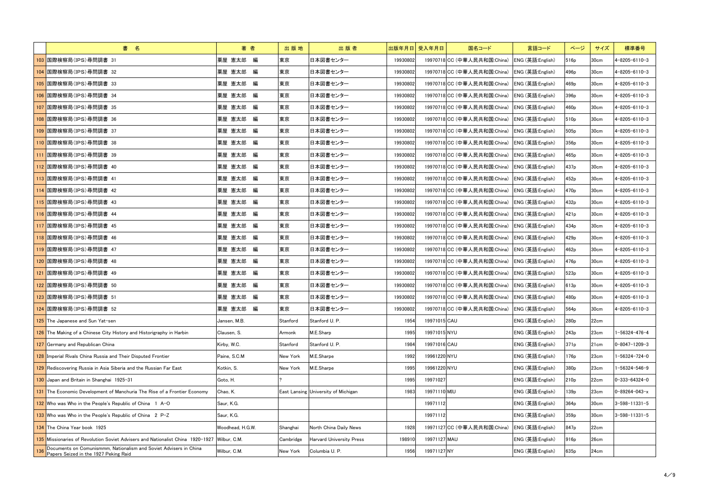|     | 書 名                                                                                                        | 著者               | 出版地       | 出版者                                 |          | 出版年月日 受入年月日<br>国名コード                         | 言語コード            | ページ              | サイズ              | 標準番号                  |
|-----|------------------------------------------------------------------------------------------------------------|------------------|-----------|-------------------------------------|----------|----------------------------------------------|------------------|------------------|------------------|-----------------------|
|     | 103 国際検察局(IPS)尋問調書 31                                                                                      | 粟屋 憲太郎 編         | 東京        | 日本図書センター                            | 19930802 | 19970718 CC (中華人民共和国:China)                  | ENG (英語:English) | 516 <sub>p</sub> | 30cm             | $4 - 8205 - 6110 - 3$ |
|     | 104  国際検察局(IPS)尋問調書 32                                                                                     | 粟屋 憲太郎 編         | 東京        | 日本図書センター                            | 19930802 | 19970718 CC (中華人民共和国:China)                  | ENG (英語:English) | 496 <sub>p</sub> | 30 <sub>cm</sub> | 4-8205-6110-3         |
|     | 105 国際検察局(IPS)尋問調書 33                                                                                      | 粟屋 憲太郎 編         | 東京        | 日本図書センター                            | 19930802 | 19970718 CC (中華人民共和国:China)                  | ENG (英語:English) | 469p             | 30cm             | $4 - 8205 - 6110 - 3$ |
|     | 106 国際検察局(IPS)尋問調書 34                                                                                      | 粟屋 憲太郎 編         | 東京        | 日本図書センター                            | 19930802 | 19970718 CC (中華人民共和国:China) ENG (英語:English) |                  | 396 <sub>p</sub> | 30cm             | 4-8205-6110-3         |
|     | 107 国際検察局(IPS)尋問調書 35                                                                                      | 粟屋 憲太郎 編         | 東京        | 日本図書センター                            | 19930802 | 19970718 CC (中華人民共和国:China)                  | ENG (英語:English) | 460 <sub>p</sub> | 30cm             | 4-8205-6110-3         |
|     | 108  国際検察局(IPS)尋問調書 36                                                                                     | 粟屋 憲太郎 編         | 東京        | 日本図書センター                            | 19930802 | 19970718 CC (中華人民共和国:China)                  | ENG (英語:English) | 510 <sub>p</sub> | 30cm             | $4 - 8205 - 6110 - 3$ |
|     | 109 国際検察局(IPS)尋問調書 37                                                                                      | 粟屋 憲太郎 編         | 東京        | 日本図書センター                            | 19930802 | 19970718 CC (中華人民共和国:China) ENG (英語:English) |                  | 505 <sub>p</sub> | 30cm             | 4-8205-6110-3         |
|     | 110  国際検察局(IPS)尋問調書 38                                                                                     | 粟屋 憲太郎 編         | 東京        | 日本図書センター                            | 19930802 | 19970718 CC (中華人民共和国:China)                  | ENG (英語:English) | 356 <sub>p</sub> | 30 <sub>cm</sub> | 4-8205-6110-3         |
|     | 111 国際検察局(IPS)尋問調書 39                                                                                      | 粟屋 憲太郎 編         | 東京        | 日本図書センター                            | 19930802 | 19970718 CC (中華人民共和国:China)                  | ENG (英語:English) | 465 <sub>p</sub> | 30cm             | 4-8205-6110-3         |
|     | 112 国際検察局(IPS)尋問調書 40                                                                                      | 粟屋 憲太郎 編         | 東京        | 日本図書センター                            | 19930802 | 19970718 CC (中華人民共和国:China) ENG (英語:English) |                  | 437 <sub>p</sub> | 30cm             | $4 - 8205 - 6110 - 3$ |
|     | 113 国際検察局(IPS)尋問調書 41                                                                                      | 粟屋 憲太郎 編         | 東京        | 日本図書センター                            | 19930802 | 19970718 CC (中華人民共和国:China)                  | ENG (英語:English) | 452p             | 30 <sub>cm</sub> | 4-8205-6110-3         |
|     | 114 国際検察局(IPS)尋問調書 42                                                                                      | 粟屋 憲太郎 編         | 東京        | 日本図書センター                            | 19930802 | 19970718 CC (中華人民共和国:China)                  | ENG (英語:English) | 470 <sub>p</sub> | 30cm             | 4-8205-6110-3         |
|     | 115 国際検察局(IPS)尋問調書 43                                                                                      | 粟屋 憲太郎 編         | 東京        | 日本図書センター                            | 19930802 | 19970718 CC (中華人民共和国:China) ENG (英語:English) |                  | 432p             | 30cm             | 4-8205-6110-3         |
|     | 116 国際検察局(IPS)尋問調書 44                                                                                      | 粟屋 憲太郎 編         | 東京        | 日本図書センター                            | 19930802 | 19970718 CC (中華人民共和国:China)                  | ENG (英語:English) | 421 <sub>p</sub> | 30cm             | 4-8205-6110-3         |
|     | 117 国際検察局(IPS)尋問調書 45                                                                                      | 粟屋 憲太郎 編         | 東京        | 日本図書センター                            | 19930802 | 19970718 CC (中華人民共和国:China)                  | ENG (英語:English) | 434p             | 30cm             | $4 - 8205 - 6110 - 3$ |
|     | 118 国際検察局(IPS)尋問調書 46                                                                                      | 粟屋 憲太郎 編         | 東京        | 日本図書センター                            | 19930802 | 19970718 CC (中華人民共和国:China) ENG (英語:English) |                  | 429 <sub>p</sub> | 30cm             | $4 - 8205 - 6110 - 3$ |
|     | 119 国際検察局(IPS)尋問調書 47                                                                                      | 粟屋 憲太郎 編         | 東京        | 日本図書センター                            | 19930802 | 19970718 CC (中華人民共和国:China)                  | ENG (英語:English) | 462p             | 30cm             | 4-8205-6110-3         |
|     | 120 国際検察局(IPS)尋問調書 48                                                                                      | 粟屋 憲太郎 編         | 東京        | 日本図書センター                            | 19930802 | 19970718 CC (中華人民共和国:China)                  | ENG (英語:English) | 476 <sub>p</sub> | 30cm             | 4-8205-6110-3         |
|     | 121 国際検察局(IPS)尋問調書 49                                                                                      | 粟屋 憲太郎 編         | 東京        | 日本図書センター                            | 19930802 | 19970718 CC (中華人民共和国:China) ENG (英語:English) |                  | 523 <sub>p</sub> | 30cm             | $4 - 8205 - 6110 - 3$ |
|     | 122  国際検察局(IPS)尋問調書 50                                                                                     | 粟屋 憲太郎 編         | 東京        | 日本図書センター                            | 19930802 | 19970718 CC (中華人民共和国:China) ENG (英語:English) |                  | 613p             | 30cm             | 4-8205-6110-3         |
|     | 123 国際検察局(IPS)尋問調書 51                                                                                      | 粟屋 憲太郎 編         | 東京        | 日本図書センター                            | 19930802 | 19970718 CC (中華人民共和国:China) ENG (英語:English) |                  | 480 <sub>p</sub> | 30 <sub>cm</sub> | $4 - 8205 - 6110 - 3$ |
|     | 124 国際検察局(IPS)尋問調書 52                                                                                      | 粟屋 憲太郎 編         | 東京        | 日本図書センター                            | 19930802 | 19970718 CC (中華人民共和国:China) ENG (英語:English) |                  | 564 <sub>p</sub> | 30cm             | $4 - 8205 - 6110 - 3$ |
|     | 125 The Japanese and Sun Yat-sen                                                                           | Jansen, M.B.     | Stanford  | Stanford U. P.                      | 1954     | 19971015 CAU                                 | ENG (英語:English) | 280 <sub>p</sub> | 22cm             |                       |
|     | 126 The Making of a Chinese City History and Historigraphy in Harbin                                       | Clausen, S.      | Armonk    | M.E.Sharp                           | 1995     | 19971015 NYU                                 | ENG (英語:English) | 243 <sub>p</sub> | 23cm             | $1 - 56324 - 476 - 4$ |
|     | 127 Germany and Republican China                                                                           | Kirby, W.C.      | Stanford  | Stanford U. P.                      | 1984     | 19971016 CAU                                 | ENG (英語:English) | 371p             | 21cm             | $0 - 8047 - 1209 - 3$ |
|     | 128 Imperial Rivals China Russia and Their Disputed Frontier                                               | Paine, S.C.M     | New York  | M.E.Sharpe                          | 1992     | 19961220 NYU                                 | ENG (英語:English) | 176 <sub>p</sub> | 23cm             | 1-56324-724-0         |
|     | 129 Rediscovering Russia in Asia Siberia and the Russian Far East                                          | Kotkin, S.       | New York  | M.E.Sharpe                          | 1995     | 19961220 NYU                                 | ENG (英語:English) | 380 <sub>p</sub> | 23cm             | 1-56324-546-9         |
|     | 130 Japan and Britain in Shanghai 1925-31                                                                  | Goto, H.         |           |                                     | 1995     | 19971027                                     | ENG (英語:English) | 210 <sub>p</sub> | 22cm             | $0 - 333 - 64324 - 0$ |
|     | 131 The Economic Development of Manchuria The Rise of a Frontier Economy                                   | Chao, K.         |           | East Lansing University of Michigan | 1983     | 19971110 MIU                                 | ENG (英語:English) | 139p             | 23cm             | $0 - 89264 - 043 - x$ |
|     | 132 Who was Who in the People's Republic of China 1 A-O                                                    | Saur, K.G.       |           |                                     |          | 19971112                                     | ENG (英語:English) | 364 <sub>p</sub> | 30cm             | $3 - 598 - 11331 - 5$ |
|     | 133 Who was Who in the People's Republic of China 2 P-Z                                                    | Saur, K.G.       |           |                                     |          | 19971112                                     | ENG (英語:English) | 359 <sub>p</sub> | 30cm             | $3 - 598 - 11331 - 5$ |
|     | 134 The China Year book 1925                                                                               | Woodhead, H.G.W. | Shanghai  | North China Daily News              | 1928     | 19971127 CC (中華人民共和国:China)                  | ENG (英語:English) | 847 <sub>p</sub> | 22cm             |                       |
|     | 135 Missionaries of Revolution Soviet Advisers and Nationalist China 1920-1927 Wilbur, C.M.                |                  | Cambridge | <b>Harvard University Press</b>     | 198910   | 19971127 MAU                                 | ENG (英語:English) | 916 <sub>p</sub> | 26cm             |                       |
| 136 | Documents on Comunismmm, Nationalism and Soviet Advisers in China<br>Papers Seized in the 1927 Peking Raid | Wilbur, C.M.     | New York  | Columbia U. P.                      | 1956     | 19971127 NY                                  | ENG (英語:English) | 635 <sub>p</sub> | 24cm             |                       |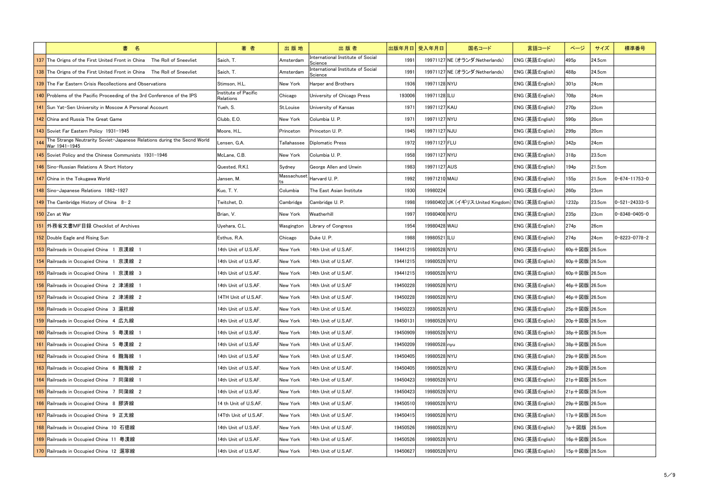| 書 名                                                                                      | 著者                                | 出版地         | 出版者                                          | 出版年月日 受入年月日 | 国名コード                                              | 言語コード            | ページ              | サイズ    | 標準番号                  |
|------------------------------------------------------------------------------------------|-----------------------------------|-------------|----------------------------------------------|-------------|----------------------------------------------------|------------------|------------------|--------|-----------------------|
| 137 The Origns of the First United Front in China The Roll of Sneevliet                  | Saich. T.                         | Amsterdam   | International Institute of Social<br>Science | 1991        | 19971127 NE (オランダ:Netherlands)                     | ENG (英語:English) | 495 <sub>p</sub> | 24.5cm |                       |
| 138 The Origns of the First United Front in China The Roll of Sneevliet                  | Saich, T.                         | Amsterdam   | International Institute of Social<br>Science | 1991        | 19971127 NE (オランダ:Netherlands)                     | ENG (英語:English) | 488p             | 24.5cm |                       |
| <b>139</b> The Far Eastern Crisis Recollections and Observations                         | Stimson, H.L.                     | New York    | Harper and Brothers                          | 1936        | 19971128 NYU                                       | ENG (英語:English) | 301 <sub>p</sub> | 24cm   |                       |
| 140 Problems of the Pacific Proceeding of the 3rd Conference of the IPS                  | Institute of Pacific<br>Relations | Chicago     | University of Chicago Press                  | 193006      | 19971128 ILU                                       | ENG (英語:English) | 708 <sub>p</sub> | 24cm   |                       |
| 141 Sun Yat-Sen University in Moscow A Personal Account                                  | Yueh, S.                          | St.Louise   | University of Kansas                         | 1971        | 19971127 KAU                                       | ENG (英語:English) | 270 <sub>p</sub> | 23cm   |                       |
| 142 China and Russia The Great Game                                                      | Clubb, E.O.                       | New York    | Columbia U. P.                               | 1971        | 19971127 NYU                                       | ENG (英語:English) | 590 <sub>p</sub> | 20cm   |                       |
| 143 Soviet Far Eastern Policy 1931-1945                                                  | Moore, H.L.                       | Princeton   | Princeton U. P.                              | 1945        | 19971127 NJU                                       | ENG (英語:English) | 299 <sub>p</sub> | 20cm   |                       |
| The Strange Neutrarity Soviet-Japanese Relations during the Secnd World<br>War 1941-1945 | Lensen, G.A.                      | Tallahassee | <b>Diplomatic Press</b>                      | 1972        | 19971127 FLU                                       | ENG (英語:English) | 342p             | 24cm   |                       |
| 145 Soviet Policy and the Chinese Communists 1931-1946                                   | McLane, C.B.                      | New York    | Columbia U. P.                               | 1958        | 19971127 NYU                                       | ENG (英語:English) | 318p             | 23.5cm |                       |
| 146 Sino-Russian Relations A Short History                                               | Quested, R.K.I.                   | Sydney      | George Allen and Unwin                       | 1983        | 19971127 AUS                                       | ENG (英語:English) | 194p             | 21.5cm |                       |
| 147 China in the Tokugawa World                                                          | Jansen. M.                        | Massachuset | Harvard U. P.                                | 1992        | 19971210 MAU                                       | ENG (英語:English) | 155p             | 21.5cm | $0 - 674 - 11753 - 0$ |
| 148 Sino-Japanese Relations 1862-1927                                                    | Kuo, T. Y.                        | Columbia    | The East Asian Institute                     | 1930        | 19980224                                           | ENG (英語:English) | 260 <sub>p</sub> | 23cm   |                       |
| 149 The Cambridge History of China $8 - 2$                                               | Twitchet, D.                      | Cambridge   | Cambridge U. P.                              | 1998        | 19980402 UK (イギリス:United Kingdom) ENG (英語:English) |                  | 1232p            | 23.5cm | $0 - 521 - 24333 - 5$ |
| 150 Zen at War                                                                           | Brian, V.                         | New York    | Weatherhill                                  | 1997        | 19980408 NYU                                       | ENG (英語:English) | 235 <sub>p</sub> | 23cm   | $0 - 8348 - 0405 - 0$ |
| 151 外務省文書MF目録 Checklist of Archives                                                      | Uyehara, C.L.                     | Wasgington  | Library of Congress                          | 1954        | 19980428 WAU                                       | ENG (英語:English) | 274 <sub>p</sub> | 26cm   |                       |
| 152 Double Eagle and Rising Sun                                                          | Esthus, R.A.                      | Chicago     | Duke U. P.                                   | 1988        | 19980521 ILU                                       | ENG (英語:English) | 274 <sub>p</sub> | 24cm   | $0 - 8223 - 0778 - 2$ |
| 153 Railroads in Occupied China 1 京漢線 1                                                  | 4th Unit of U.S.AF.               | New York    | 14th Unit of U.S.AF.                         | 19441215    | 19980528 NYU                                       | ENG (英語:English) | 60p+図版 26.5cm    |        |                       |
| 154 Railroads in Occupied China 1 京漢線 2                                                  | 14th Unit of U.S.AF.              | New York    | 14th Unit of U.S.AF.                         | 19441215    | 19980528 NYU                                       | ENG (英語:English) | 60p+図版 26.5cm    |        |                       |
| 155 Railroads in Occupied China 1 京漢線 3                                                  | 4th Unit of U.S.AF.               | New York    | 14th Unit of U.S.AF.                         | 19441215    | 19980528 NYU                                       | ENG (英語:English) | 60p+図版 26.5cm    |        |                       |
| 156 Railroads in Occupied China 2 津浦線 1                                                  | 14th Unit of U.S.AF.              | New York    | 14th Unit of U.S.AF                          | 19450228    | 19980528 NYU                                       | ENG (英語:English) | 46p+図版 26.5cm    |        |                       |
| 157 Railroads in Occupied China 2 津浦線 2                                                  | 14TH Unit of U.S.AF.              | New York    | 14th Unit of U.S.AF.                         | 19450228    | 19980528 NYU                                       | ENG (英語:English) | 46p+図版 26.5cm    |        |                       |
| 158 Railroads in Occupied China 3 滬杭線                                                    | 14th Unit of U.S.AF.              | New York    | 14th Unit of U.S.Af.                         | 19450223    | 19980528 NYU                                       | ENG (英語:English) | 25p+図版 26.5cm    |        |                       |
| 159 Railroads in Occupied China 4 広九線                                                    | 14th Unit of U.S.AF.              | New York    | 14th Unit of U.S.AF.                         | 19450131    | 19980528 NYU                                       | ENG (英語:English) | 20p+図版 26.5cm    |        |                       |
| 160 Railroads in Occupied China 5 粤漢線 1                                                  | 14th Unit of U.S.AF.              | New York    | 14th Unit of U.S.AF.                         | 19450909    | 19980528 NYU                                       | ENG (英語:English) | 38p+図版 26.5cm    |        |                       |
| 161 Railroads in Occupied China 5 粤漢線 2                                                  | 14th Unit of U.S.AF               | New York    | 14th Unit of U.S.AF.                         | 19450209    | 19980528 nyu                                       | ENG (英語:English) | 38p+図版 26.5cm    |        |                       |
| 162 Railroads in Occupied China 6 朧海線 1                                                  | 14th Unit of U.S.AF               | New York    | 14th Unit of U.S.AF.                         | 19450405    | 19980528 NYU                                       | ENG (英語:English) | 29p+図版 26.5cm    |        |                       |
| 163 Railroads in Occupied China 6 朧海線 2                                                  | 14th Unit of U.S.AF.              | New York    | 14th Unit of U.S.AF.                         | 19450405    | 19980528 NYU                                       | ENG (英語:English) | 29p+図版 26.5cm    |        |                       |
| 164 Railroads in Occupied China 7 同蒲線 1                                                  | 14th Unit of U.S.AF.              | New York    | 14th Unit of U.S.AF.                         | 19450423    | 19980528 NYU                                       | ENG (英語:English) | 21p+図版 26.5cm    |        |                       |
| 165 Railroads in Occupied China 7 同蒲線 2                                                  | 14th Unit of U.S.AF.              | New York    | 14th Unit of U.S.AF.                         | 19450423    | 19980528 NYU                                       | ENG (英語:English) | 21p+図版 26.5cm    |        |                       |
| 166 Railroads in Occupied China 8 膠済線                                                    | 14 th Unit of U.S.AF.             | New York    | 14th Unit of U.S.AF.                         | 19450510    | 19980528 NYU                                       | ENG (英語:English) | 29p+図版 26.5cm    |        |                       |
| 167 Railroads in Occupied China 9 正太線                                                    | 14Tth Unit of U.S.AF.             | New York    | 14th Unit of U.S.AF.                         | 19450415    | 19980528 NYU                                       | ENG (英語:English) | 17p+図版 26.5cm    |        |                       |
| 168 Railroads in Occupied China 10 石徳線                                                   | 14th Unit of U.S.AF.              | New York    | 14th Unit of U.S.AF.                         | 19450526    | 19980528 NYU                                       | ENG (英語:English) | 7p+図版 26.5cm     |        |                       |
| 169 Railroads in Occupied China 11 粤漢線                                                   | 14th Unit of U.S.AF.              | New York    | 14th Unit of U.S.AF.                         | 19450526    | 19980528 NYU                                       | ENG (英語:English) | 16p+図版 26.5cm    |        |                       |
| 170 Railroads in Occupied China 12 滬寧線                                                   | 14th Unit of U.S.AF.              | New York    | 14th Unit of U.S.AF.                         | 19450627    | 19980528 NYU                                       | ENG (英語:English) | 15p+図版 26.5cm    |        |                       |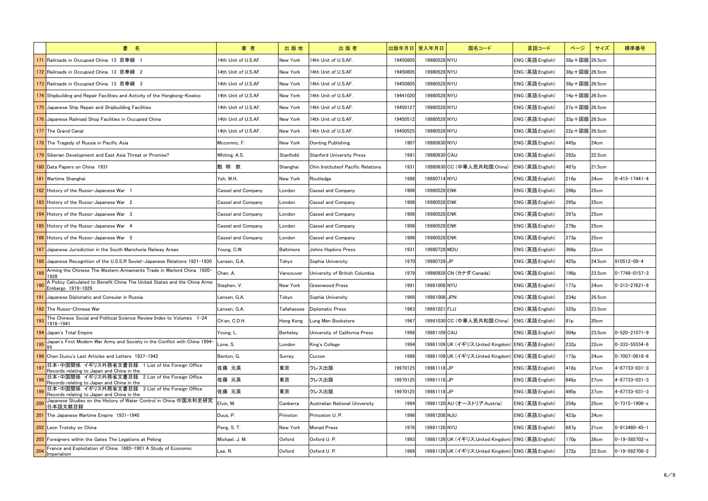|     | 書 名                                                                                            | 著者                        | 出版地             | 出版者                                | 出版年月日 受入年月日 | 国名コード                                              | 言語コード            | ページ              | サイズ    | 標準番号                    |
|-----|------------------------------------------------------------------------------------------------|---------------------------|-----------------|------------------------------------|-------------|----------------------------------------------------|------------------|------------------|--------|-------------------------|
| 171 | ▌Railroads in Occupied China 13 京奉線                                                            | 4th Unit of U.S.AF.       | New York        | 14th Unit of U.S.AF.               | 19450805    | 19980528 NYU                                       | ENG (英語:English) | 38p+図版 26.5cm    |        |                         |
|     | <mark>172</mark> Railroads in Occupied China 13 京奉線 2                                          | 14th Unit of U.S.AF.      | New York        | 14th Unit of U.S.AF                | 19450805    | 19980528 NYU                                       | ENG (英語:English) | 38p+図版 26.5cm    |        |                         |
|     | 173 Railroads in Occupied China 13 京奉線 3                                                       | 14th Unit of U.S.AF       | New York        | 14th Unit of U.S.AF.               | 19450805    | 19980528 NYU                                       | ENG (英語:English) | 38p+図版 26.5cm    |        |                         |
|     | 174 Shipbuilding and Repair Facilities and Activity of the Hongkong-Kowloo                     | 14th Unit of U.S.AF.      | New York        | 14th Unit of U.S.AF.               | 19441020    | 19980528 NYU                                       | ENG (英語:English) | 14p+図版 26.5cm    |        |                         |
|     | 175 Japanese Ship Repair and Shipbuilding Facilities                                           | 14th Unit of U.S.AF.      | New York        | 14th Unit of U.S.AF.               | 19450127    | 19980528 NYU                                       | ENG (英語:English) | 27p+図版 26.5cm    |        |                         |
|     | 176 Japanese Railroad Shop Facilities in Occupied China                                        | 14th Unit of U.S.AF.      | New York        | 14th Unit of U.S.AF.               | 19450512    | 19980528 NYU                                       | ENG (英語:English) | 33p+図版 26.5cm    |        |                         |
|     | 177 The Grand Canal                                                                            | 14th Unit of U.S.AF.      | New York        | 14th Unit of U.S.AF.               | 19450525    | 19980528 NYU                                       | ENG (英語:English) | 22p+図版 26.5cm    |        |                         |
|     | 178 The Tragedy of Russia in Pacific Asia                                                      | Mccormic. F.              | New York        | Oonting Publishing                 | 1907        | 19980630 NYU                                       | ENG (英語:English) | 445 <sub>p</sub> | 24cm   |                         |
|     | 179 Siberian Development and East Asia Threat or Promise?                                      | Whiting, A.S.             | Stanfodd        | <b>Stanford University Press</b>   | 1981        | 19980630 CAU                                       | ENG (英語:English) | 292 <sub>p</sub> | 22.5cm |                         |
|     | 180 Data Papers on China 1931                                                                  | 鮑 明 欽                     | Shanghai        | Chin Instituteof Pacific Relations | 1931        | 19980630 CC (中華人民共和国:China)                        | ENG (英語:English) | 487p             | 21.5cm |                         |
|     | 181 Wartime Shanghai                                                                           | Yeh, W.H.                 | New York        | Routledge                          | 1998        | 19980714 NYU                                       | ENG (英語:English) | 216 <sub>p</sub> | 24cm   | $0 - 415 - 17441 - 4$   |
|     | 182 History of the Russo-Japanese War 1                                                        | <b>Cassel and Company</b> | London          | <b>Cassel and Company</b>          | 1906        | 19980528 ENK                                       | ENG (英語:English) | 296 <sub>p</sub> | 25cm   |                         |
|     | 183 History of the Russo-Japanese War 2                                                        | Cassel and Company        | London          | Cassel and Company                 | 1906        | 19980528 ENK                                       | ENG (英語:English) | 295 <sub>p</sub> | 25cm   |                         |
|     | 184 History of the Russo-Japanese War 3                                                        | Cassel and Company        | London          | <b>Cassel and Company</b>          | 1906        | 19980528 ENK                                       | ENG (英語:English) | 297 <sub>p</sub> | 25cm   |                         |
|     | 185 History of the Russo-Japanese War 4                                                        | Cassel and Company        | London          | <b>Cassel and Company</b>          | 1906        | 19980528 ENK                                       | ENG (英語:English) | 279 <sub>p</sub> | 25cm   |                         |
|     | 186 History of the Russo-Japanese War 5                                                        | <b>Cassel and Company</b> | London          | <b>Cassel and Company</b>          | 1906        | 19980528 ENK                                       | ENG (英語:English) | 273 <sub>p</sub> | 25cm   |                         |
|     | 187 Japanese Jurisdiction in the South Manchuria Railway Areas                                 | Young, C.W.               | Baltimore       | Johns Hopkins Press                | 1931        | 19980728 MDU                                       | ENG (英語:English) | 368p             | 22cm   |                         |
|     | 188 Japanese Recognition of the U.S.S.R Soviet-Japanese Relations 1921-1930                    | Lensen, G.A.              | Tokyo           | Sophia University                  | 1970        | 19980728 JP                                        | ENG (英語:English) | 425 <sub>p</sub> | 24.5cm | 910512-09-4             |
| 189 | Arming the Chinese The Western Armaments Trade in Warlord China 1920-                          | Chan, A.                  | Vancouver       | University of British Columbia     | 1979        | 19980928 CN (カナダ:Canada)                           | ENG (英語:English) | 196 <sub>p</sub> | 23.5cm | $0 - 7748 - 0157 - 3$   |
| 190 | A Policy Calculated to Benefit China The United States and the China Arms<br>Embargo 1919-1929 | Stephen, V.               | New York        | <b>Greenwood Press</b>             | 1991        | 19981008 NYU                                       | ENG (英語:English) | 177 <sub>p</sub> | 24cm   | $ 0 - 313 - 27621 - 8 $ |
|     | 191 Japanese Diplomatic and Consular in Russia                                                 | Lensen, G.A.              | Tokyo           | Sophia University                  | 1968        | 19981008 JPN                                       | ENG (英語:English) | 234 <sub>p</sub> | 26.5cm |                         |
|     | 192 The Russo-Chinese War                                                                      | Lensen, G.A.              |                 | Tallahassee Diplomatic Press       | 1963        | 19981021 FLU                                       | ENG (英語:English) | 325p             | 23.5cm |                         |
| 193 | The Chinese Social and Political Science Review Index to Volumes 1-24<br>1916-1941             | Ch'en, C.D.H.             | Hong Kong       | Lung Men Bookstore                 | 1967        | 19981030 CC (中華人民共和国:China)                        | ENG (英語:English) | 81p              | 20cm   |                         |
|     | 194 Japan's Total Empire                                                                       | Young, L.                 | <b>Berkeley</b> | University of California Press     | 1998        | 19981109 CAU                                       | ENG (英語:English) | 504 <sub>p</sub> | 23.5cm | $0 - 520 - 21071 - 9$   |
| 195 | Japan's First Modern War Army and Society in the Conflict with China 1894-                     | Lone, S.                  | London          | King's College                     | 1994        | 19981109 UK (イギリス:United Kingdom) ENG (英語:English) |                  | 232 <sub>p</sub> | 22cm   | $0 - 333 - 55554 - 6$   |
|     | 196 Chen Duxiu's Last Articles and Letters 1937-1942                                           | Benton, G.                | Surrey          | Curzon                             | 1998        | 19981109 UK (イギリス:United Kingdom) ENG (英語:English) |                  | 173 <sub>p</sub> | 24cm   | $0 - 7007 - 0618 - 6$   |
| 197 | 日本・中国関係 イギリス外務省文書目録 1 List of the Foreign Office<br>Records relating to Japan and China in the | 佐藤 元英                     | 東京              | クレス出版                              | 19970125    | 19981118 JP                                        | ENG (英語:English) | 418p             | 27cm   | $4 - 87733 - 031 - 3$   |
| 198 | 日本・中国関係 イギリス外務省文書目録 2 List of the Foreign Office<br>Records relating to Japan and China in the | 佐藤 元英                     | 東京              | クレス出版                              | 19970125    | 19981118 JP                                        | ENG (英語:English) | 848p             | 27cm   | $4 - 87733 - 031 - 3$   |
| 199 | 日本・中国関係 イギリス外務省文書目録 3 List of the Foreign Office<br>Records relating to Japan and China in the | 佐藤 元英                     | 東京              | クレス出版                              | 19970125    | 19981118 JP                                        | ENG (英語:English) | 490 <sub>p</sub> | 27cm   | $4 - 87733 - 031 - 3$   |
| 200 | Japanese Studies on the History of Water Control in China 中国水利史研究<br>日本語文献目録                   | Elvin, M.                 | Canberra        | Australian National University     | 1994        | 19981120 AU (オーストリア:Austria)                       | ENG (英語:English) | 254 <sub>p</sub> | 25cm   | $0 - 7315 - 1906 - x$   |
|     | 201 The Japanese Wartime Empire 1931-1945                                                      | Duus, P.                  | Prinston        | Princeton U. P.                    | 1996        | 19981208 NJU                                       | ENG (英語:English) | 423p             | 24cm   |                         |
|     | 202 Leon Trotsky on China                                                                      | Peng, S. T.               | New York        | <b>Monad Press</b>                 | 1976        | 19981126 NYU                                       | ENG (英語:English) | 687p             | 21cm   | $0 - 913460 - 45 - 1$   |
|     | 203 Foreigners within the Gates The Legations at Peking                                        | Michael, J. M.            | Oxford          | Oxford U.P.                        | 1993        | 19981126 UK (イギリス:United Kingdom) ENG (英語:English) |                  | 170 <sub>p</sub> | 26cm   | $0 - 19 - 585702 - x$   |
| 204 | France and Exploitation of China 1885-1901 A Study of Economic<br>Imperialism                  | Lee, R.                   | Oxford          | Oxford U. P.                       | 1989        | 19981126 UK (イギリス:United Kingdom) ENG (英語:English) |                  | 372p             | 22.5cm | $0 - 19 - 582708 - 2$   |
|     |                                                                                                |                           |                 |                                    |             |                                                    |                  |                  |        |                         |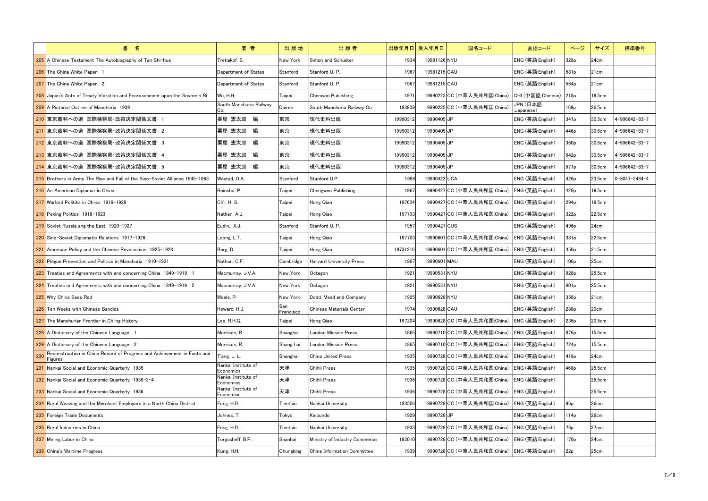|     | 書 名                                                                                 | 著者                               | 出版地              | 出版者                             |          | 出版年月日 受入年月日<br>国名コード        | 言語コード                  | ページ              | サイズ    | 標準番号                  |
|-----|-------------------------------------------------------------------------------------|----------------------------------|------------------|---------------------------------|----------|-----------------------------|------------------------|------------------|--------|-----------------------|
|     | 205 A Chinese Testament The Autobiography of Tan Shi-hua                            | Tretiakof. S.                    | New York         | Simon and Schuster              | 1934     | 19981126 NYU                | ENG (英語:English)       | 328p             | 24cm   |                       |
|     | 206 The China White Paper 1                                                         | Department of States             | Stanford         | Stanford U. P.                  | 1967     | 19981215 CAU                | ENG (英語:English)       | 581p             | 21cm   |                       |
|     | 207 The China White Paper 2                                                         | Department of States             | Stanford         | Stanford U. P.                  | 1967     | 19981215 CAU                | ENG (英語:English)       | 564 <sub>p</sub> | 21cm   |                       |
|     | 208 Japan's Acts of Treaty Vioration and Encroachment upon the Soverein Ri          | Wu, H.H.                         | Taipei           | Chenwen Publishing              | 1971     | 19990223 CC (中華人民共和国:China) | CHI (中国語:Chinese)      | 218 <sub>p</sub> | 19.5cm |                       |
|     | 209 A Pictorial Outline of Manchuria 1939                                           | South Manchuria Railway<br>Co.   | Dairen           | South Manchuria Railway Co      | 193909   | 19990225 CC (中華人民共和国:China) | JPN (日本語<br>:Japanese) | 169 <sub>p</sub> | 26.5cm |                       |
|     | 210 東京裁判への道 国際検察局・政策決定関係文書 1                                                        | 粟屋 憲太郎 編                         | 東京               | 現代史料出版                          | 19990312 | 19990405UP                  | ENG (英語:English)       | 347 <sub>p</sub> | 30.5cm | 4-906642-83-7         |
|     | 211 東京裁判への道 国際検察局·政策決定関係文書 2                                                        | 粟屋 憲太郎 編                         | 東京               | 現代史料出版                          | 19990312 | 19990405UP                  | ENG (英語:English)       | 446 <sub>p</sub> | 30.5cm | 4-906642-83-7         |
|     | 212 東京裁判への道 国際検察局·政策決定関係文書 3                                                        | 粟屋 憲太郎 編                         | 東京               | 現代史料出版                          | 19990312 | 19990405UP                  | ENG (英語:English)       | 360 <sub>p</sub> | 30.5cm | 4-906642-83-7         |
|     | 213 東京裁判への道 国際検察局·政策決定関係文書 4                                                        | 粟屋 憲太郎 編                         | 東京               | 現代史料出版                          | 19990312 | 19990405UP                  | ENG (英語:English)       | 542 <sub>p</sub> | 30.5cm | 4-906642-83-7         |
|     | 214 東京裁判への道 国際検察局・政策決定関係文書 5                                                        | 粟屋 憲太郎 編                         | 東京               | 現代史料出版                          | 19990312 | 19990405 JP                 | ENG (英語:English)       | 577 <sub>p</sub> | 30.5cm | 4-906642-83-7         |
|     | <b>215</b> Brothers in Arms The Rise and Fall of the Sino-Soviet Alliance 1945-1963 | Westad, O.A.                     | Stanford         | Stanford U.P.                   | 1998     | 19990422 UCA                | ENG (英語:English)       | 426 <sub>p</sub> | 23.5cm | $0 - 8047 - 3484 - 4$ |
|     | 216 An American Diplomat in China                                                   | Reinshu, P.                      | Taipei           | Chengwen Publishing             | 1967     | 19990427 CC (中華人民共和国:China) | ENG (英語:English)       | 420 <sub>p</sub> | 19.5cm |                       |
|     | 217 Warlord Politiks in China 1916-1928                                             | Ch'i, H. S.                      | Taipei           | Hong Qiao                       | 197604   | 19990427 CC (中華人民共和国:China) | ENG (英語:English)       | 294 <sub>p</sub> | 19.5cm |                       |
|     | 218 Peking Politics 1918-1923                                                       | Nathan, A.J.                     | Taipei           | Hong Qiao                       | 197703   | 19990427 CC (中華人民共和国:China) | ENG (英語:English)       | 322p             | 22.5cm |                       |
|     | 219 Soviet Russia ang the East 1920-1927                                            | Eudin, X.J.                      | Stanford         | Stanford U. P.                  | 1957     | 19990427 CUS                | ENG (英語:English)       | 496 <sub>p</sub> | 24cm   |                       |
|     | 220 Sino-Soviet Diplomatic Relations 1917-1926                                      | Leong, L.T.                      | Taipei           | Hong Qiao                       | 197703   | 19990601 CC (中華人民共和国:China) | ENG (英語:English)       | 381p             | 22.5cm |                       |
|     | 221 American Policy and the Chinese Revolushion 1925-1928                           | Borg, D.                         | Taipei           | Hong Qiao                       | 19731216 | 19990601 CC (中華人民共和国:China) | ENG (英語:English)       | 450 <sub>p</sub> | 21.5cm |                       |
|     | 222 Plegue Prevention and Politics in Manchuria 1910-1931                           | Nathan, C.F.                     | Cambridge        | <b>Harvard University Press</b> | 1967     | 19990601 MAU                | ENG (英語:English)       | 106 <sub>p</sub> | 25cm   |                       |
|     | <b>223</b> Treaties and Agreements with and concerning China 1849-1919 1            | Macmurray, J.V.A.                | New York         | Octagon                         | 1921     | 19990531 NYU                | ENG (英語:English)       | 928 <sub>p</sub> | 25.5cm |                       |
|     | 224 Treaties and Agreements with and concerning China 1849-1919 2                   | Macmurray, J.V.A.                | New York         | Octagon                         | 1921     | 19990531 NYU                | ENG (英語:English)       | 801p             | 25.5cm |                       |
|     | 225 Why China Sees Red                                                              | Weale, P.                        | New York         | Dodd, Mead and Company          | 1925     | 19990628 NYU                | ENG (英語:English)       | 356 <sub>p</sub> | 21cm   |                       |
|     | 226 Ten Weeks with Chinese Bandids                                                  | Howard, H.J.                     | San<br>Francisco | Chinese Materials Center        | 1974     | 19990628 CAU                | ENG (英語:English)       | 288p             | 20cm   |                       |
|     | 227 The Manchurian Frontier in Ch'ing History                                       | Lee, R.H.G.                      | Taipei           | Hong Qiao                       | 197204   | 19990628 CC (中華人民共和国:China) | ENG (英語:English)       | 236 <sub>p</sub> | 20.5cm |                       |
|     | 228 A Dictionary of the Chinese Language 1                                          | Morrison, R.                     | Shanghai         | <b>London Mission Press</b>     | 1865     | 19990710 CC (中華人民共和国:China) | ENG (英語:English)       | 876p             | 15.5cm |                       |
|     | 229 A Dictionary of the Chinese Language 2                                          | Morrison, R.                     | Shang hai        | <b>London Mission Press</b>     | 1865     | 19990710 CC (中華人民共和国:China) | ENG (英語:English)       | 724 <sub>p</sub> | 15.5cm |                       |
| 230 | Reconstruction in China Record of Progress and Achievement in Facts and<br>Figures  | I'ang, L. L.                     | Shanghai         | China United Press              | 1935     | 19990728 CC (中華人民共和国:China) | ENG (英語:English)       | 418p             | 24cm   |                       |
| 231 | Nankai Social and Economic Quarterly 1935                                           | Nankai Institute of<br>Economics | 天津               | Chihli Press                    | 1935     | 19990728 CC (中華人民共和国:China) | ENG (英語:English)       | 468p             | 25.5cm |                       |
|     | 232 Nankai Social and Economic Quarterly 1935-3.4                                   | Nankai Institute of<br>Economics | 天津               | Chihli Press                    | 1936     | 19990728 CC (中華人民共和国:China) | ENG (英語:English)       |                  | 25.5cm |                       |
|     | 233 Nankai Social and Economic Quarterly 1936                                       | Nankai Institute of<br>Economics | 天津               | Chihli Press                    | 1936     | 19990728 CC (中華人民共和国:China) | ENG (英語:English)       |                  | 25.5cm |                       |
|     | 234 Rural Weaving and the Merchant Employers in a North China District              | Fong, H.D.                       | Tientsin         | Nankai University               | 193506   | 19990728 CC (中華人民共和国:China) | ENG (英語:English)       | 96 <sub>p</sub>  | 26cm   |                       |
|     | 235 Foreign Trade Documents                                                         | Johnes, T.                       | Tokyo            | Keibundo                        | 1929     | 19990728UP                  | ENG (英語:English)       | 114p             | 26cm   |                       |
|     | 236 Rural Industries in China                                                       | Fong, H.D.                       | Tientsin         | Nankai University               | 1933     | 19990728 CC (中華人民共和国:China) | ENG (英語:English)       | 76p              | 27cm   |                       |
|     | 237 Mining Labor in China                                                           | Torgasheff, B.P.                 | Shanhai          | Ministry of Industry Commerce   | 193010   | 19990728 CC (中華人民共和国:China) | ENG (英語:English)       | 170 <sub>p</sub> | 24cm   |                       |
|     | 238 China's Wartime Progress                                                        | Kung, H.H.                       | Chungking        | China Information Committee     | 1939     | 19990728 CC (中華人民共和国:China) | ENG (英語:English)       | 22p              | 25cm   |                       |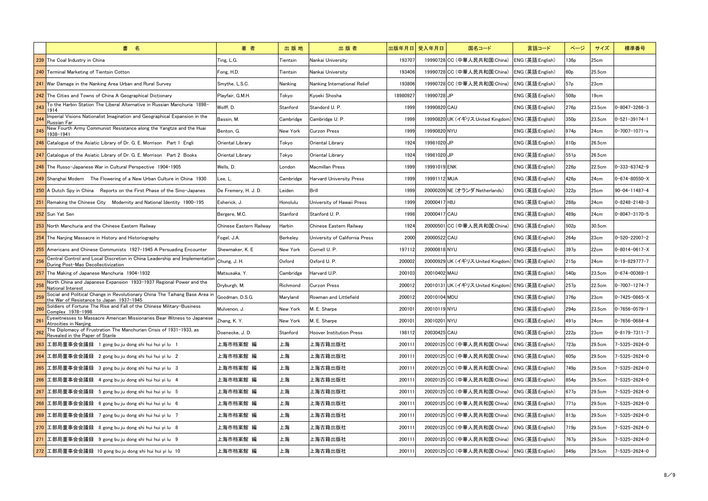| 書 名                                                                                                                                   | 著者                      | 出版地       | 出版者                             | 出版年月日 受入年月日 |              | 国名コード                                              | 言語コード            | ページ              | サイズ    | 標準番号                  |
|---------------------------------------------------------------------------------------------------------------------------------------|-------------------------|-----------|---------------------------------|-------------|--------------|----------------------------------------------------|------------------|------------------|--------|-----------------------|
| The Coal Industry in China                                                                                                            | Ting, L.G.              | Tientsin  | Nankai University               | 193707      |              | 19990728 CC (中華人民共和国:China)                        | ENG (英語:English) | 136p             | 25cm   |                       |
| <b>Terminal Marketing of Tientsin Cotton</b><br>240                                                                                   | Fong, H.D.              | Tientsin  | Nankai University               | 193406      |              | 19990728 CC (中華人民共和国:China)                        | ENG (英語:English) | 60p              | 25.5cm |                       |
| War Damage in the Nanking Area Urban and Rural Survey<br>241                                                                          | Smythe, L.S.C.          | Nanking   | Nanking International Relief    | 193806      |              | 19990728 CC (中華人民共和国:China)                        | ENG (英語:English) | 57p              | 23cm   |                       |
| 242 The Cities and Towns of China A Geographical Dictionary                                                                           | Playfair, G.M.H.        | Tokyo     | Kyoeki Shosha                   | 18980927    | 19990728 JP  |                                                    | ENG (英語:English) | 508p             | 19cm   |                       |
| To the Harbin Station The Liberal Alternative in Russian Manchuria 1898-<br>243<br>1914                                               | Wolff, D.               | Stanford  | Standord U. P.                  | 1999        | 19990820 CAU |                                                    | ENG (英語:English) | 276 <sub>p</sub> | 23.5cm | $0 - 8047 - 3266 - 3$ |
| Imperial Visions Nationalist Imagination and Geographical Expansion in the<br>244<br>Russian Far                                      | Bassin, M.              | Cambridge | Cambridge U. P.                 | 1999        |              | 19990820UK (イギリス:United Kingdom) ENG (英語:English)  |                  | 350 <sub>p</sub> | 23.5cm | $0 - 521 - 39174 - 1$ |
| New Fourth Army Communist Resistance along the Yangtze and the Huai<br>245<br>1938-1941                                               | Benton, G.              | New York  | Curzon Press                    | 1999        | 19990820 NYU |                                                    | ENG (英語:English) | 974 <sub>p</sub> | 24cm   | $0 - 7007 - 1071 - x$ |
| 246 Catalogue of the Asiatic Library of Dr. G. E. Morrison Part 1 Engli                                                               | Oriental Library        | Tokyo     | Oriental Library                | 1924        | 19981020UP   |                                                    | ENG (英語:English) | 810 <sub>p</sub> | 26.5cm |                       |
| 247 Catalogue of the Asiatic Library of Dr. G. E. Morrison Part 2 Books                                                               | Oriental Library        | Tokyo     | Oriental Library                | 1924        | 19981020 JP  |                                                    | ENG (英語:English) | 551p             | 26.5cm |                       |
| 248 The Russo-Japanese War in Cultural Perspective 1904-1905                                                                          | Wells, D.               | London    | Macmillan Press                 | 1999        | 19991019 ENK |                                                    | ENG (英語:English) | 226 <sub>p</sub> | 22.5cm | $0 - 333 - 63742 - 9$ |
| 249 Shanghai Modern The Flowering of a New Urban Culture in China 1930                                                                | Lee, L.                 | Cambridge | Harvard Universitv Press        | 1999        | 19991112 MUA |                                                    | ENG (英語:English) | 426 <sub>p</sub> | 24cm   | $0 - 674 - 80550 - X$ |
| 250 A Dutch Spy in China Reports on the First Phase of the Sino-Japanes                                                               | De Fremery, H. J. D.    | Leiden    | Brill                           | 1999        |              | 20000209 NE (オランダ:Netherlands)                     | ENG (英語:English) | 322p             | 25cm   | $90 - 04 - 11487 - 4$ |
| Remaking the Chinese City Modernity and National Identity 1900-195<br>251                                                             | Esherick, J.            | Honolulu  | University of Hawaii Press      | 1999        | 20000417 HIU |                                                    | ENG (英語:English) | 288p             | 24cm   | $0 - 8248 - 2148 - 3$ |
| 252 Sun Yat Sen                                                                                                                       | Bergere, M.C.           | Stanford  | Stanford U.P.                   | 1998        | 20000417 CAU |                                                    | ENG (英語:English) | 489 <sub>p</sub> | 24cm   | 0-8047-3170-5         |
| North Manchuria and the Chinese Eastern Railway<br>253                                                                                | Chinese Eastern Railway | Harbin    | Chinese Eastern Railway         | 1924        |              | 20000501 CC (中華人民共和国:China)                        | ENG (英語:English) | 502 <sub>p</sub> | 30.5cm |                       |
| 254 The Nanjing Massacre in History and Historiography                                                                                | Fogel, J.A.             | Berkeley  | University of California Press  | 2000        | 20000522 CAU |                                                    | ENG (英語:English) | 264 <sub>p</sub> | 23cm   | $0 - 520 - 22007 - 2$ |
| 255<br>Americans and Chinese Communists 1927-1945 A Persuading Encounter                                                              | Shewmaker, K. E.        | New York  | Cornell U. P.                   | 197112      | 20000818 NYU |                                                    | ENG (英語:English) | 397 <sub>p</sub> | 22cm   | l0-8014-0617-X        |
| Central Control and Local Discretion in China Leadership and Implementation Chung, J. H.<br>256<br>During Post-Mao Decollectivization |                         | Oxford    | Oxford U.P.                     | 200002      |              | 20000929UK (イギリス:United Kingdom) ENG (英語:English)  |                  | 215p             | 24cm   | $0 - 19 - 829777 - 7$ |
| The Making of Japanese Manchuria 1904-1932<br>257                                                                                     | Matsusaka, Y.           | Cambridge | Harvard U.P.                    | 200103      | 20010402 MAU |                                                    | ENG (英語:English) | 540 <sub>p</sub> | 23.5cm | $0 - 674 - 00369 - 1$ |
| North China and Japanese Expansion 1933-1937 Regional Power and the<br>258<br>National Interest                                       | Dryburgh, M.            | Richmond  | <b>Curzon Press</b>             | 200012      |              | 20010131 UK (イギリス:United Kingdom) ENG (英語:English) |                  | 257p             | 22.5cm | $0 - 7007 - 1274 - 7$ |
| Social and Political Change in Revolutionary China The Taihang Base Area in<br>259<br>the War of Resistance to Japan 1937-1945        | Goodman, D.S.G.         | Maryland  | Rowman and Littlefield          | 200012      | 20010104 MDU |                                                    | ENG (英語:English) | 376 <sub>p</sub> | 23cm   | l0-7425-0865-X        |
| Soldiers of Fortune The Rise and Fall of the Chinese Military-Business<br><b>260</b><br>Complex 1978-1998                             | Mulvenon, J.            | New York  | M. E. Sharpe                    | 200101      | 20010119 NYU |                                                    | ENG (英語:English) | 294 <sub>p</sub> | 23.5cm | $0 - 7656 - 0579 - 1$ |
| Eyewitnesses to Massacre American Missionaries Bear Witness to Japanese<br>$26^\circ$<br>Atrocities in Nanjing                        | Zhang, K.Y.             | New York  | M. E. Sharpe                    | 200101      | 20010201 NYU |                                                    | ENG (英語:English) | 491 <sub>p</sub> | 24cm   | $0 - 7656 - 0684 - 4$ |
| The Diplomacy of Frustration The Manchurian Crisis of 1931-1933, as<br>262<br>Revealed in the Paper of Stanle                         | Doenecke, J.D.          | Stanford  | <b>Hoover Institution Press</b> | 198112      | 20030425 CAU |                                                    | ENG (英語:English) | 222p             | 23cm   | $0 - 8179 - 7311 - 7$ |
| 263 工部局董事会会議録 1 gong bu ju dong shi hui hui yi lu 1                                                                                   | 上海市档案館 編                | 上海        | 上海古籍出版社                         | 200111      |              | 20020125 CC (中華人民共和国:China)                        | ENG (英語:English) | 723p             | 29.5cm | 7-5325-2624-0         |
| 264 工部局董事会会議録 2 gong bu ju dong shi hui hui yi lu 2                                                                                   | 上海市档案館 編                | 上海        | 上海古籍出版社                         | 200111      |              | 20020125 CC (中華人民共和国:China)                        | ENG (英語:English) | 605 <sub>p</sub> | 29.5cm | 7-5325-2624-0         |
| 265 工部局董事会会議録 3 gong bu ju dong shi hui hui yi lu 3                                                                                   | 上海市档案館 編                | 上海        | 上海古籍出版社                         | 200111      |              | 20020125 CC (中華人民共和国:China)                        | ENG (英語:English) | 749 <sub>p</sub> | 29.5cm | 7-5325-2624-0         |
| 266 工部局董事会会議録 4 gong bu ju dong shi hui hui yi lu 4                                                                                   | 上海市档案館 編                | 上海        | 上海古籍出版社                         | 200111      |              | 20020125 CC (中華人民共和国:China)                        | ENG (英語:English) | 854p             | 29.5cm | 7-5325-2624-0         |
| 267 工部局董事会会議録 5 gong bu ju dong shi hui hui yi lu 5                                                                                   | 上海市档案館 編                | 上海        | 上海古籍出版社                         | 200111      |              | 20020125 CC (中華人民共和国:China)                        | ENG (英語:English) | 677 <sub>p</sub> | 29.5cm | 7-5325-2624-0         |
| 268 工部局董事会会議録 6 gong bu ju dong shi hui hui yi lu 6                                                                                   | 上海市档案館 編                | 上海        | 上海古籍出版社                         | 200111      |              | 20020125 CC (中華人民共和国:China)                        | ENG (英語:English) | 771 <sub>p</sub> | 29.5cm | 7-5325-2624-0         |
| 269 工部局董事会会議録 7 gong bu ju dong shi hui hui yi lu 7                                                                                   | 上海市档案館 編                | 上海        | 上海古籍出版社                         | 200111      |              | 20020125 CC (中華人民共和国:China)                        | ENG (英語:English) | 813p             | 29.5cm | 7-5325-2624-0         |
| 270 工部局董事会会議録 8 gong bu ju dong shi hui hui yi lu 8                                                                                   | 上海市档案館 編                | 上海        | 上海古籍出版社                         | 200111      |              | 20020125 CC (中華人民共和国:China)                        | ENG (英語:English) | 719 <sub>p</sub> | 29.5cm | 7-5325-2624-0         |
| 工部局董事会会議録 9 gong bu ju dong shi hui hui yi lu 9<br>271                                                                                | 上海市档案館 編                | 上海        | 上海古籍出版社                         | 200111      |              | 20020125 CC (中華人民共和国:China)                        | ENG (英語:English) | 767 <sub>p</sub> | 29.5cm | 7-5325-2624-0         |
| 272 工部局董事会会議録 10 gong bu ju dong shi hui hui yi lu 10                                                                                 | 上海市档案館 編                | 上海        | 上海古籍出版社                         | 200111      |              | 20020125 CC (中華人民共和国:China)                        | ENG (英語:English) | 849 <sub>p</sub> | 29.5cm | 7-5325-2624-0         |